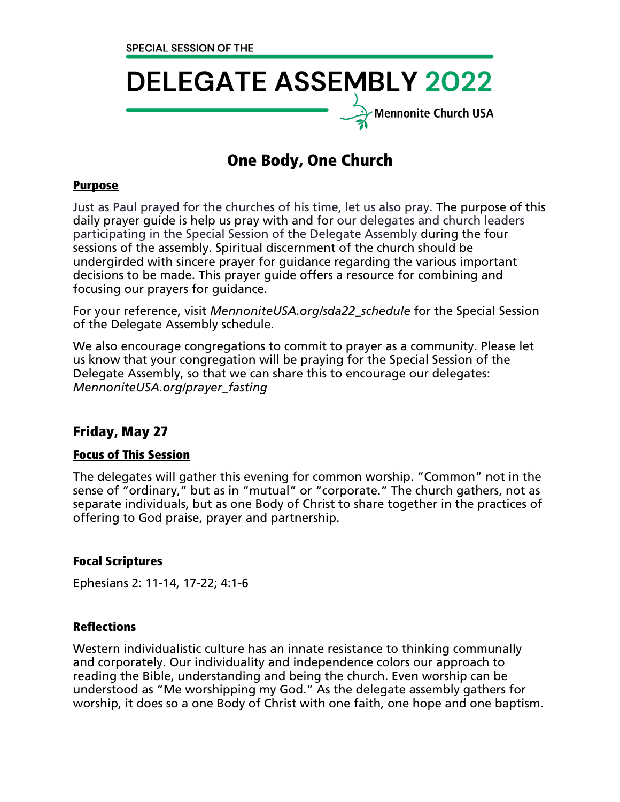# **DELEGATE ASSEMBLY 2022**  $\overline{\mathcal{F}}$ Mennonite Church USA

# One Body, One Church

#### Purpose

Just as Paul prayed for the churches of his time, let us also pray. The purpose of this daily prayer guide is help us pray with and for our delegates and church leaders participating in the Special Session of the Delegate Assembly during the four sessions of the assembly. Spiritual discernment of the church should be undergirded with sincere prayer for guidance regarding the various important decisions to be made. This prayer guide offers a resource for combining and focusing our prayers for guidance.

For your reference, visit *MennoniteUSA.org/sda22\_schedule* for the Special Session of the Delegate Assembly schedule.

We also encourage congregations to commit to prayer as a community. Please let us know that your congregation will be praying for the Special Session of the Delegate Assembly, so that we can share this to encourage our delegates: *MennoniteUSA.org/prayer\_fasting*

# Friday, May 27

#### Focus of This Session

The delegates will gather this evening for common worship. "Common" not in the sense of "ordinary," but as in "mutual" or "corporate." The church gathers, not as separate individuals, but as one Body of Christ to share together in the practices of offering to God praise, prayer and partnership.

#### Focal Scriptures

Ephesians 2: 11-14, 17-22; 4:1-6

#### Reflections

Western individualistic culture has an innate resistance to thinking communally and corporately. Our individuality and independence colors our approach to reading the Bible, understanding and being the church. Even worship can be understood as "Me worshipping my God." As the delegate assembly gathers for worship, it does so a one Body of Christ with one faith, one hope and one baptism.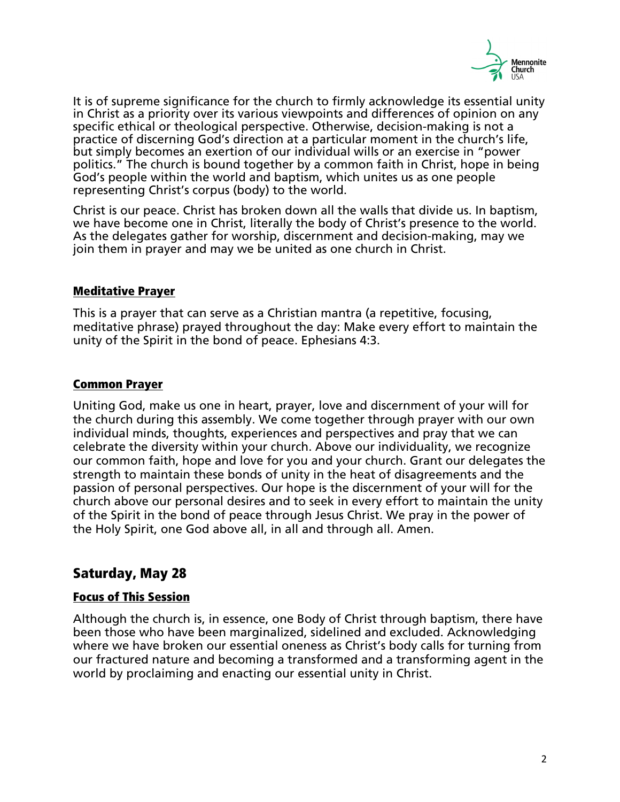

It is of supreme significance for the church to firmly acknowledge its essential unity in Christ as a priority over its various viewpoints and differences of opinion on any specific ethical or theological perspective. Otherwise, decision-making is not a practice of discerning God's direction at a particular moment in the church's life, but simply becomes an exertion of our individual wills or an exercise in "power politics." The church is bound together by a common faith in Christ, hope in being God's people within the world and baptism, which unites us as one people representing Christ's corpus (body) to the world.

Christ is our peace. Christ has broken down all the walls that divide us. In baptism, we have become one in Christ, literally the body of Christ's presence to the world. As the delegates gather for worship, discernment and decision-making, may we join them in prayer and may we be united as one church in Christ.

#### Meditative Prayer

This is a prayer that can serve as a Christian mantra (a repetitive, focusing, meditative phrase) prayed throughout the day: Make every effort to maintain the unity of the Spirit in the bond of peace. Ephesians 4:3.

# Common Prayer

Uniting God, make us one in heart, prayer, love and discernment of your will for the church during this assembly. We come together through prayer with our own individual minds, thoughts, experiences and perspectives and pray that we can celebrate the diversity within your church. Above our individuality, we recognize our common faith, hope and love for you and your church. Grant our delegates the strength to maintain these bonds of unity in the heat of disagreements and the passion of personal perspectives. Our hope is the discernment of your will for the church above our personal desires and to seek in every effort to maintain the unity of the Spirit in the bond of peace through Jesus Christ. We pray in the power of the Holy Spirit, one God above all, in all and through all. Amen.

# Saturday, May 28

#### Focus of This Session

Although the church is, in essence, one Body of Christ through baptism, there have been those who have been marginalized, sidelined and excluded. Acknowledging where we have broken our essential oneness as Christ's body calls for turning from our fractured nature and becoming a transformed and a transforming agent in the world by proclaiming and enacting our essential unity in Christ.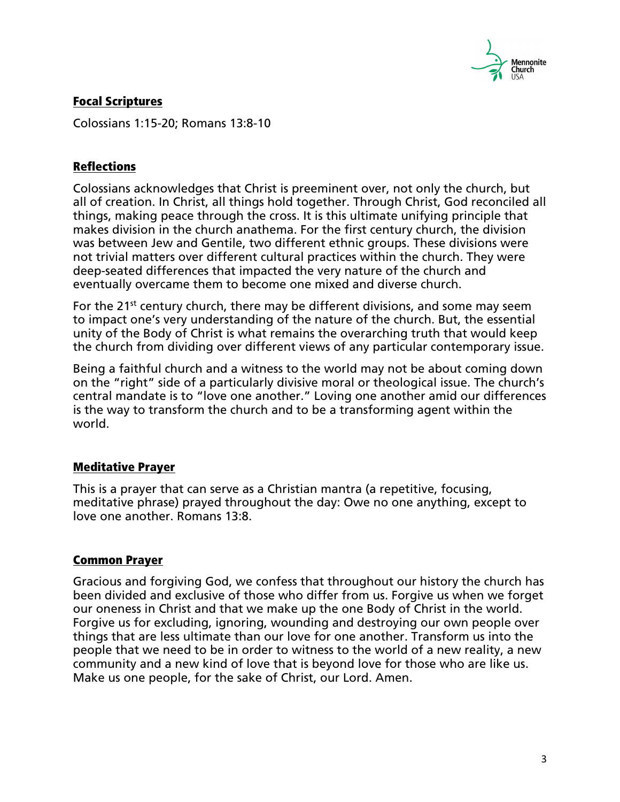

# Focal Scriptures

Colossians 1:15-20; Romans 13:8-10

# **Reflections**

Colossians acknowledges that Christ is preeminent over, not only the church, but all of creation. In Christ, all things hold together. Through Christ, God reconciled all things, making peace through the cross. It is this ultimate unifying principle that makes division in the church anathema. For the first century church, the division was between Jew and Gentile, two different ethnic groups. These divisions were not trivial matters over different cultural practices within the church. They were deep-seated differences that impacted the very nature of the church and eventually overcame them to become one mixed and diverse church.

For the 21<sup>st</sup> century church, there may be different divisions, and some may seem to impact one's very understanding of the nature of the church. But, the essential unity of the Body of Christ is what remains the overarching truth that would keep the church from dividing over different views of any particular contemporary issue.

Being a faithful church and a witness to the world may not be about coming down on the "right" side of a particularly divisive moral or theological issue. The church's central mandate is to "love one another." Loving one another amid our differences is the way to transform the church and to be a transforming agent within the world.

# Meditative Prayer

This is a prayer that can serve as a Christian mantra (a repetitive, focusing, meditative phrase) prayed throughout the day: Owe no one anything, except to love one another. Romans 13:8.

#### Common Prayer

Gracious and forgiving God, we confess that throughout our history the church has been divided and exclusive of those who differ from us. Forgive us when we forget our oneness in Christ and that we make up the one Body of Christ in the world. Forgive us for excluding, ignoring, wounding and destroying our own people over things that are less ultimate than our love for one another. Transform us into the people that we need to be in order to witness to the world of a new reality, a new community and a new kind of love that is beyond love for those who are like us. Make us one people, for the sake of Christ, our Lord. Amen.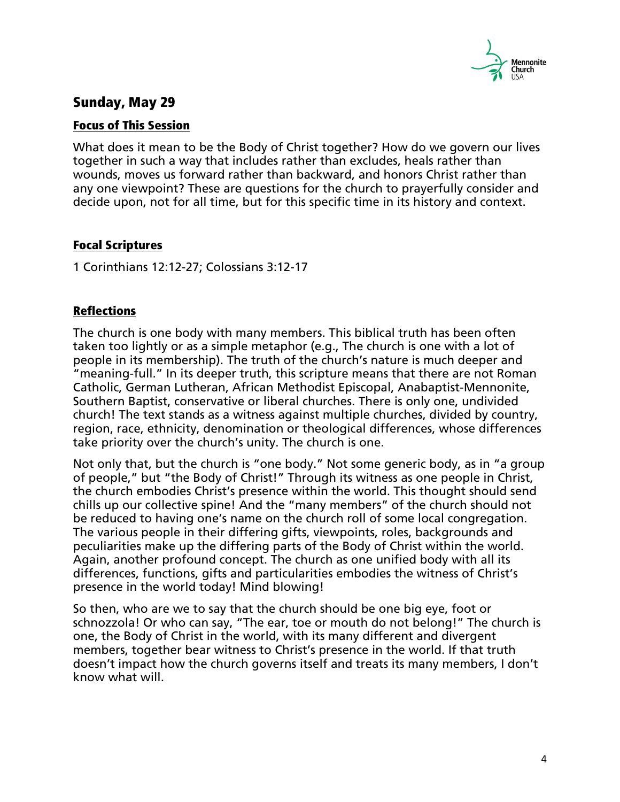

# Sunday, May 29

#### Focus of This Session

What does it mean to be the Body of Christ together? How do we govern our lives together in such a way that includes rather than excludes, heals rather than wounds, moves us forward rather than backward, and honors Christ rather than any one viewpoint? These are questions for the church to prayerfully consider and decide upon, not for all time, but for this specific time in its history and context.

# Focal Scriptures

1 Corinthians 12:12-27; Colossians 3:12-17

# Reflections

The church is one body with many members. This biblical truth has been often taken too lightly or as a simple metaphor (e.g., The church is one with a lot of people in its membership). The truth of the church's nature is much deeper and "meaning-full." In its deeper truth, this scripture means that there are not Roman Catholic, German Lutheran, African Methodist Episcopal, Anabaptist-Mennonite, Southern Baptist, conservative or liberal churches. There is only one, undivided church! The text stands as a witness against multiple churches, divided by country, region, race, ethnicity, denomination or theological differences, whose differences take priority over the church's unity. The church is one.

Not only that, but the church is "one body." Not some generic body, as in "a group of people," but "the Body of Christ!" Through its witness as one people in Christ, the church embodies Christ's presence within the world. This thought should send chills up our collective spine! And the "many members" of the church should not be reduced to having one's name on the church roll of some local congregation. The various people in their differing gifts, viewpoints, roles, backgrounds and peculiarities make up the differing parts of the Body of Christ within the world. Again, another profound concept. The church as one unified body with all its differences, functions, gifts and particularities embodies the witness of Christ's presence in the world today! Mind blowing!

So then, who are we to say that the church should be one big eye, foot or schnozzola! Or who can say, "The ear, toe or mouth do not belong!" The church is one, the Body of Christ in the world, with its many different and divergent members, together bear witness to Christ's presence in the world. If that truth doesn't impact how the church governs itself and treats its many members, I don't know what will.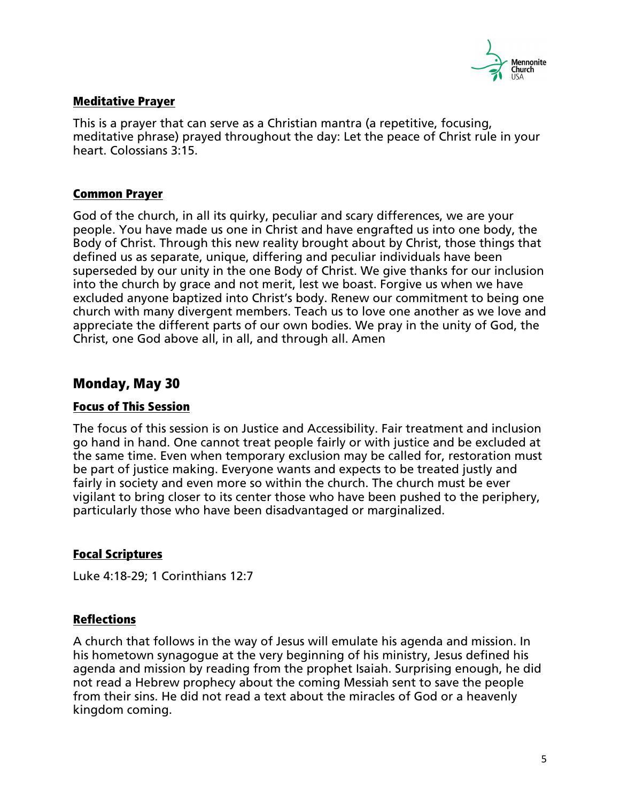

#### Meditative Prayer

This is a prayer that can serve as a Christian mantra (a repetitive, focusing, meditative phrase) prayed throughout the day: Let the peace of Christ rule in your heart. Colossians 3:15.

#### Common Prayer

God of the church, in all its quirky, peculiar and scary differences, we are your people. You have made us one in Christ and have engrafted us into one body, the Body of Christ. Through this new reality brought about by Christ, those things that defined us as separate, unique, differing and peculiar individuals have been superseded by our unity in the one Body of Christ. We give thanks for our inclusion into the church by grace and not merit, lest we boast. Forgive us when we have excluded anyone baptized into Christ's body. Renew our commitment to being one church with many divergent members. Teach us to love one another as we love and appreciate the different parts of our own bodies. We pray in the unity of God, the Christ, one God above all, in all, and through all. Amen

# Monday, May 30

#### Focus of This Session

The focus of this session is on Justice and Accessibility. Fair treatment and inclusion go hand in hand. One cannot treat people fairly or with justice and be excluded at the same time. Even when temporary exclusion may be called for, restoration must be part of justice making. Everyone wants and expects to be treated justly and fairly in society and even more so within the church. The church must be ever vigilant to bring closer to its center those who have been pushed to the periphery, particularly those who have been disadvantaged or marginalized.

# Focal Scriptures

Luke 4:18-29; 1 Corinthians 12:7

#### Reflections

A church that follows in the way of Jesus will emulate his agenda and mission. In his hometown synagogue at the very beginning of his ministry, Jesus defined his agenda and mission by reading from the prophet Isaiah. Surprising enough, he did not read a Hebrew prophecy about the coming Messiah sent to save the people from their sins. He did not read a text about the miracles of God or a heavenly kingdom coming.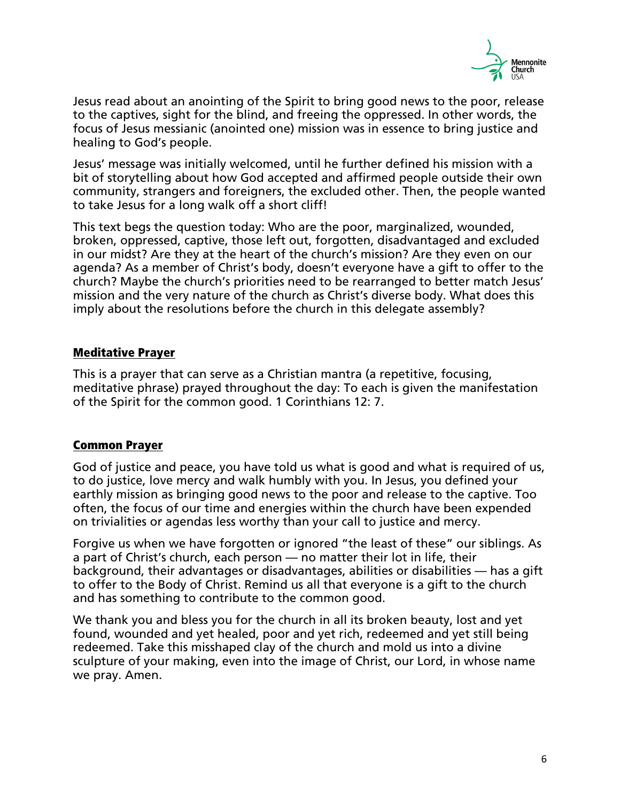

Jesus read about an anointing of the Spirit to bring good news to the poor, release to the captives, sight for the blind, and freeing the oppressed. In other words, the focus of Jesus messianic (anointed one) mission was in essence to bring justice and healing to God's people.

Jesus' message was initially welcomed, until he further defined his mission with a bit of storytelling about how God accepted and affirmed people outside their own community, strangers and foreigners, the excluded other. Then, the people wanted to take Jesus for a long walk off a short cliff!

This text begs the question today: Who are the poor, marginalized, wounded, broken, oppressed, captive, those left out, forgotten, disadvantaged and excluded in our midst? Are they at the heart of the church's mission? Are they even on our agenda? As a member of Christ's body, doesn't everyone have a gift to offer to the church? Maybe the church's priorities need to be rearranged to better match Jesus' mission and the very nature of the church as Christ's diverse body. What does this imply about the resolutions before the church in this delegate assembly?

# Meditative Prayer

This is a prayer that can serve as a Christian mantra (a repetitive, focusing, meditative phrase) prayed throughout the day: To each is given the manifestation of the Spirit for the common good. 1 Corinthians 12: 7.

#### Common Prayer

God of justice and peace, you have told us what is good and what is required of us, to do justice, love mercy and walk humbly with you. In Jesus, you defined your earthly mission as bringing good news to the poor and release to the captive. Too often, the focus of our time and energies within the church have been expended on trivialities or agendas less worthy than your call to justice and mercy.

Forgive us when we have forgotten or ignored "the least of these" our siblings. As a part of Christ's church, each person — no matter their lot in life, their background, their advantages or disadvantages, abilities or disabilities — has a gift to offer to the Body of Christ. Remind us all that everyone is a gift to the church and has something to contribute to the common good.

We thank you and bless you for the church in all its broken beauty, lost and yet found, wounded and yet healed, poor and yet rich, redeemed and yet still being redeemed. Take this misshaped clay of the church and mold us into a divine sculpture of your making, even into the image of Christ, our Lord, in whose name we pray. Amen.